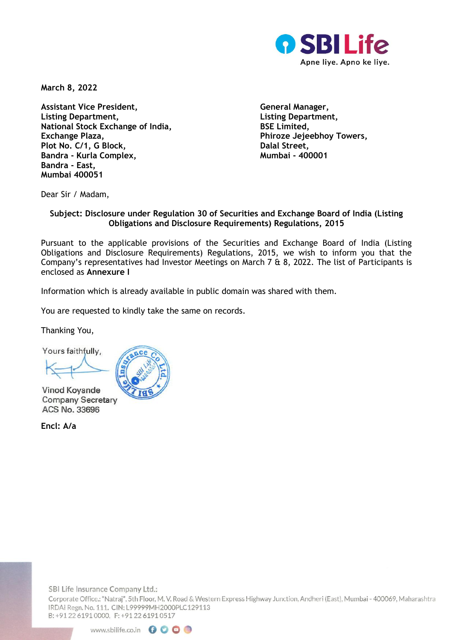

**March 8, 2022** 

Assistant Vice President, **General Manager**, **Listing Department, Listing Department, National Stock Exchange of India, BSE Limited,** Exchange Plaza, **Philosophoy Towers,** *Phiroze Jejeebhoy Towers*, Plot No. C/1, G Block, **Dalal Street,** Dalal Street, Dalal Street, Dalal Street, Dalal Street, Dalal Street, Dalal Street, Dalal Street, Dalal Street, Dalal Street, Dalal Street, Dalal Street, Dalal Street, Dalal Street, D **Bandra - Kurla Complex, Bandra - East, Mumbai 400051**

Dear Sir / Madam,

## **Subject: Disclosure under Regulation 30 of Securities and Exchange Board of India (Listing Obligations and Disclosure Requirements) Regulations, 2015**

Pursuant to the applicable provisions of the Securities and Exchange Board of India (Listing Obligations and Disclosure Requirements) Regulations, 2015, we wish to inform you that the Company's representatives had Investor Meetings on March 7 & 8, 2022. The list of Participants is enclosed as **Annexure I**

Information which is already available in public domain was shared with them.

You are requested to kindly take the same on records.

Thanking You,

Yours faithfully,

Vinod Kovande **Company Secretary** ACS No. 33696

**Encl: A/a**



SBI Life Insurance Company Ltd.:

Corporate Office.: "Natraj", 5th Floor, M. V. Road & Western Express Highway Junction, Andheri (East), Mumbai - 400069, Maharashtra IRDAI Regn. No. 111. CIN: L99999MH2000PLC129113 B: +91 22 6191 0000, F: +91 22 6191 0517